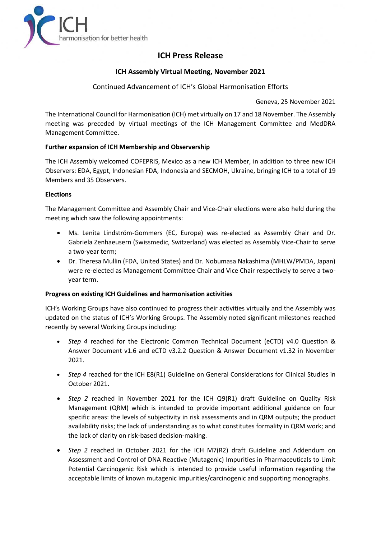

# **ICH Press Release**

# **ICH Assembly Virtual Meeting, November 2021**

# Continued Advancement of ICH's Global Harmonisation Efforts

Geneva, 25 November 2021

The International Council for Harmonisation (ICH) met virtually on 17 and 18 November. The Assembly meeting was preceded by virtual meetings of the ICH Management Committee and MedDRA Management Committee.

# **Further expansion of ICH Membership and Observership**

The ICH Assembly welcomed COFEPRIS, Mexico as a new ICH Member, in addition to three new ICH Observers: EDA, Egypt, Indonesian FDA, Indonesia and SECMOH, Ukraine, bringing ICH to a total of 19 Members and 35 Observers.

## **Elections**

The Management Committee and Assembly Chair and Vice-Chair elections were also held during the meeting which saw the following appointments:

- Ms. Lenita Lindström-Gommers (EC, Europe) was re-elected as Assembly Chair and Dr. Gabriela Zenhaeusern (Swissmedic, Switzerland) was elected as Assembly Vice-Chair to serve a two-year term;
- Dr. Theresa Mullin (FDA, United States) and Dr. Nobumasa Nakashima (MHLW/PMDA, Japan) were re-elected as Management Committee Chair and Vice Chair respectively to serve a twoyear term.

### **Progress on existing ICH Guidelines and harmonisation activities**

ICH's Working Groups have also continued to progress their activities virtually and the Assembly was updated on the status of ICH's Working Groups. The Assembly noted significant milestones reached recently by several Working Groups including:

- *Step 4* reached for the Electronic Common Technical Document (eCTD) v4.0 Question & Answer Document v1.6 and eCTD v3.2.2 Question & Answer Document v1.32 in November 2021.
- *Step 4* reached for the ICH E8(R1) Guideline on General Considerations for Clinical Studies in October 2021.
- *Step 2* reached in November 2021 for the ICH Q9(R1) draft Guideline on Quality Risk Management (QRM) which is intended to provide important additional guidance on four specific areas: the levels of subjectivity in risk assessments and in QRM outputs; the product availability risks; the lack of understanding as to what constitutes formality in QRM work; and the lack of clarity on risk-based decision-making.
- *Step 2* reached in October 2021 for the ICH M7(R2) draft Guideline and Addendum on Assessment and Control of DNA Reactive (Mutagenic) Impurities in Pharmaceuticals to Limit Potential Carcinogenic Risk which is intended to provide useful information regarding the acceptable limits of known mutagenic impurities/carcinogenic and supporting monographs.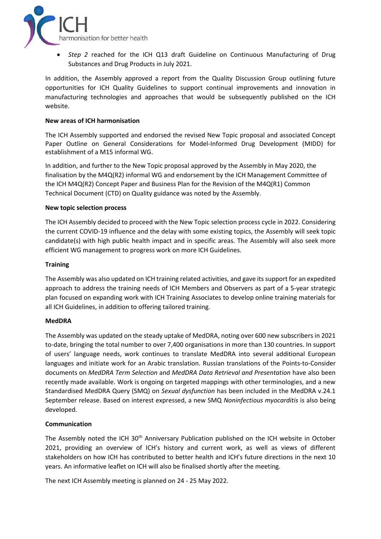

• *Step 2* reached for the ICH Q13 draft Guideline on Continuous Manufacturing of Drug Substances and Drug Products in July 2021.

In addition, the Assembly approved a report from the Quality Discussion Group outlining future opportunities for ICH Quality Guidelines to support continual improvements and innovation in manufacturing technologies and approaches that would be subsequently published on the ICH website.

#### **New areas of ICH harmonisation**

The ICH Assembly supported and endorsed the revised New Topic proposal and associated Concept Paper Outline on General Considerations for Model-Informed Drug Development (MIDD) for establishment of a M15 informal WG.

In addition, and further to the New Topic proposal approved by the Assembly in May 2020, the finalisation by the M4Q(R2) informal WG and endorsement by the ICH Management Committee of the ICH M4Q(R2) Concept Paper and Business Plan for the Revision of the M4Q(R1) Common Technical Document (CTD) on Quality guidance was noted by the Assembly.

#### **New topic selection process**

The ICH Assembly decided to proceed with the New Topic selection process cycle in 2022. Considering the current COVID-19 influence and the delay with some existing topics, the Assembly will seek topic candidate(s) with high public health impact and in specific areas. The Assembly will also seek more efficient WG management to progress work on more ICH Guidelines.

#### **Training**

The Assembly was also updated on ICH training related activities, and gave its support for an expedited approach to address the training needs of ICH Members and Observers as part of a 5-year strategic plan focused on expanding work with ICH Training Associates to develop online training materials for all ICH Guidelines, in addition to offering tailored training.

#### **MedDRA**

The Assembly was updated on the steady uptake of MedDRA, noting over 600 new subscribers in 2021 to-date, bringing the total number to over 7,400 organisations in more than 130 countries. In support of users' language needs, work continues to translate MedDRA into several additional European languages and initiate work for an Arabic translation. Russian translations of the Points-to-Consider documents on *MedDRA Term Selection* and *MedDRA Data Retrieval and Presentation* have also been recently made available. Work is ongoing on targeted mappings with other terminologies, and a new Standardised MedDRA Query (SMQ) on *Sexual dysfunction* has been included in the MedDRA v.24.1 September release. Based on interest expressed, a new SMQ *Noninfectious myocarditis* is also being developed.

### **Communication**

The Assembly noted the ICH 30<sup>th</sup> Anniversary Publication published on the ICH website in October 2021, providing an overview of ICH's history and current work, as well as views of different stakeholders on how ICH has contributed to better health and ICH's future directions in the next 10 years. An informative leaflet on ICH will also be finalised shortly after the meeting.

The next ICH Assembly meeting is planned on 24 - 25 May 2022.